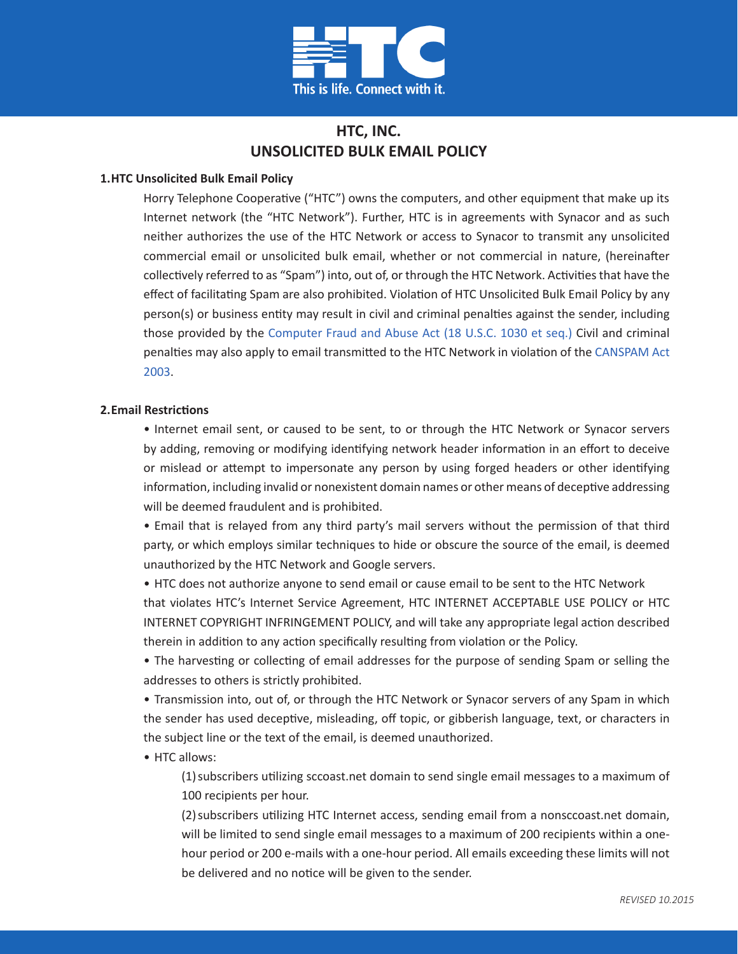

# **HTC, INC. UNSOLICITED BULK EMAIL POLICY**

### **1.HTC Unsolicited Bulk Email Policy**

Horry Telephone Cooperative ("HTC") owns the computers, and other equipment that make up its Internet network (the "HTC Network"). Further, HTC is in agreements with Synacor and as such neither authorizes the use of the HTC Network or access to Synacor to transmit any unsolicited commercial email or unsolicited bulk email, whether or not commercial in nature, (hereinafter collectively referred to as "Spam") into, out of, or through the HTC Network. Activities that have the effect of facilitating Spam are also prohibited. Violation of HTC Unsolicited Bulk Email Policy by any person(s) or business entity may result in civil and criminal penalties against the sender, including those provided by the [Computer Fraud and Abuse Act \(18 U.S.C. 1030 et seq.\)](https://www.law.cornell.edu/uscode/text/18/1030) Civil and criminal penalties may also apply to email transmitted to the HTC Network in violation of the [CANSPAM Act](https://www.spamlaws.com/federal/can-spam.shtml)  [2003.](https://www.spamlaws.com/federal/can-spam.shtml)

#### **2. Email Restrictions**

• Internet email sent, or caused to be sent, to or through the HTC Network or Synacor servers by adding, removing or modifying identifying network header information in an effort to deceive or mislead or attempt to impersonate any person by using forged headers or other identifying information, including invalid or nonexistent domain names or other means of deceptive addressing will be deemed fraudulent and is prohibited.

• Email that is relayed from any third party's mail servers without the permission of that third party, or which employs similar techniques to hide or obscure the source of the email, is deemed unauthorized by the HTC Network and Google servers.

• HTC does not authorize anyone to send email or cause email to be sent to the HTC Network that violates HTC's Internet Service Agreement, HTC INTERNET ACCEPTABLE USE POLICY or HTC INTERNET COPYRIGHT INFRINGEMENT POLICY, and will take any appropriate legal action described therein in addition to any action specifically resulting from violation or the Policy.

• The harvesting or collecting of email addresses for the purpose of sending Spam or selling the addresses to others is strictly prohibited.

• Transmission into, out of, or through the HTC Network or Synacor servers of any Spam in which the sender has used deceptive, misleading, off topic, or gibberish language, text, or characters in the subject line or the text of the email, is deemed unauthorized.

#### • HTC allows:

(1)subscribers utilizing sccoast.net domain to send single email messages to a maximum of 100 recipients per hour.

(2)subscribers utilizing HTC Internet access, sending email from a nonsccoast.net domain, will be limited to send single email messages to a maximum of 200 recipients within a onehour period or 200 e-mails with a one-hour period. All emails exceeding these limits will not be delivered and no notice will be given to the sender.